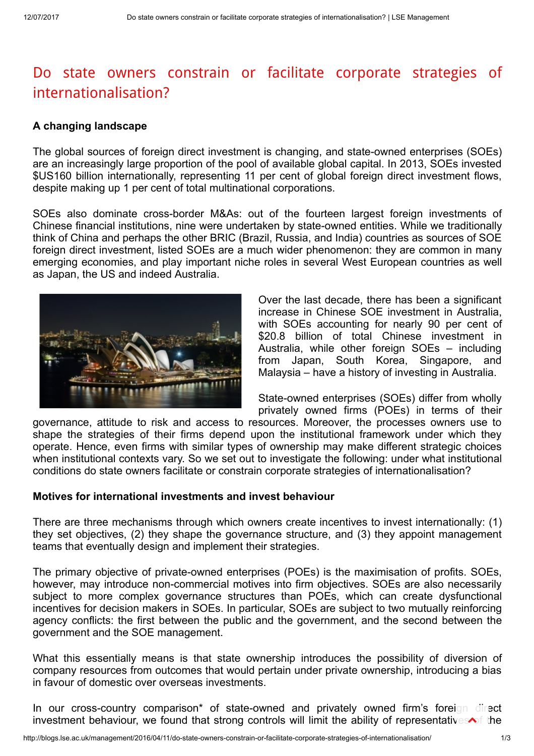## Do state owners constrain or facilitate corporate strategies of [internationalisation?](http://blogs.lse.ac.uk/management/2016/04/11/do-state-owners-constrain-or-facilitate-corporate-strategies-of-internationalisation/)

## A changing landscape

The global sources of foreign direct investment is changing, and state-owned enterprises (SOEs) are an increasingly large proportion of the pool of available global capital. In 2013, SOEs invested \$US160 billion internationally, representing 11 per cent of global foreign direct investment flows, despite making up 1 per cent of total multinational corporations.

SOEs also dominate cross-border M&As: out of the fourteen largest foreign investments of Chinese financial institutions, nine were undertaken by state-owned entities. While we traditionally think of China and perhaps the other BRIC (Brazil, Russia, and India) countries as sources of SOE foreign direct investment, listed SOEs are a much wider phenomenon: they are common in many emerging economies, and play important niche roles in several West European countries as well as Japan, the US and indeed Australia.



Over the last decade, there has been a significant increase in Chinese SOE investment in Australia, with SOEs accounting for nearly 90 per cent of \$20.8 billion of total Chinese investment in Australia, while other foreign SOEs – including from Japan, South Korea, Singapore, and Malaysia – have a history of investing in Australia.

State-owned enterprises (SOEs) differ from wholly privately owned firms (POEs) in terms of their

governance, attitude to risk and access to resources. Moreover, the processes owners use to shape the strategies of their firms depend upon the institutional framework under which they operate. Hence, even firms with similar types of ownership may make different strategic choices when institutional contexts vary. So we set out to investigate the following: under what institutional conditions do state owners facilitate or constrain corporate strategies of internationalisation?

## Motives for international investments and invest behaviour

There are three mechanisms through which owners create incentives to invest internationally: (1) they set objectives, (2) they shape the governance structure, and (3) they appoint management teams that eventually design and implement their strategies.

The primary objective of private-owned enterprises (POEs) is the maximisation of profits. SOEs, however, may introduce non-commercial motives into firm objectives. SOEs are also necessarily subject to more complex governance structures than POEs, which can create dysfunctional incentives for decision makers in SOEs. In particular, SOEs are subject to two mutually reinforcing agency conflicts: the first between the public and the government, and the second between the government and the SOE management.

What this essentially means is that state ownership introduces the possibility of diversion of company resources from outcomes that would pertain under private ownership, introducing a bias in favour of domestic over overseas investments.

In our cross-country comparison<sup>\*</sup> of state-owned and privately owned firm's foreign direct investment behaviour, we found that strong controls will limit the ability of representatives of the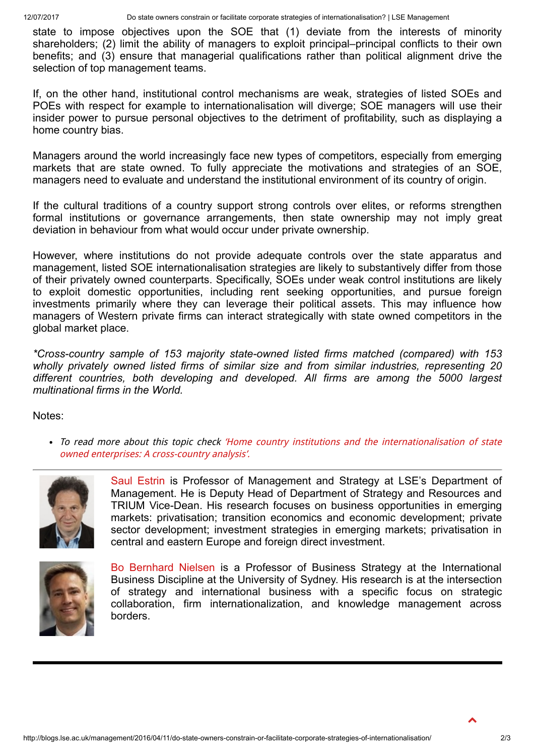state to impose objectives upon the SOE that (1) deviate from the interests of minority shareholders; (2) limit the ability of managers to exploit principal–principal conflicts to their own benefits; and (3) ensure that managerial qualifications rather than political alignment drive the selection of top management teams.

If, on the other hand, institutional control mechanisms are weak, strategies of listed SOEs and POEs with respect for example to internationalisation will diverge; SOE managers will use their insider power to pursue personal objectives to the detriment of profitability, such as displaying a home country bias.

Managers around the world increasingly face new types of competitors, especially from emerging markets that are state owned. To fully appreciate the motivations and strategies of an SOE, managers need to evaluate and understand the institutional environment of its country of origin.

If the cultural traditions of a country support strong controls over elites, or reforms strengthen formal institutions or governance arrangements, then state ownership may not imply great deviation in behaviour from what would occur under private ownership.

However, where institutions do not provide adequate controls over the state apparatus and management, listed SOE internationalisation strategies are likely to substantively differ from those of their privately owned counterparts. Specifically, SOEs under weak control institutions are likely to exploit domestic opportunities, including rent seeking opportunities, and pursue foreign investments primarily where they can leverage their political assets. This may influence how managers of Western private firms can interact strategically with state owned competitors in the global market place.

\*Cross-country sample of 153 majority state-owned listed firms matched (compared) with 153 wholly privately owned listed firms of similar size and from similar industries, representing 20 different countries, both developing and developed. All firms are among the 5000 largest multinational firms in the World.

Notes:

• To read more about this topic check 'Home country institutions and the [internationalisation](http://www.sciencedirect.com/science/article/pii/S109095161530002X) of state owned enterprises: A cross-country analysis'.



Saul [Estrin](http://www.lse.ac.uk/management/people/sestrin.aspx) is Professor of Management and Strategy at LSE's Department of Management. He is Deputy Head of Department of Strategy and Resources and TRIUM Vice-Dean. His research focuses on business opportunities in emerging markets: privatisation; transition economics and economic development; private sector development; investment strategies in emerging markets; privatisation in central and eastern Europe and foreign direct investment.



Bo [Bernhard](http://sydney.edu.au/business/staff/bo.nielsen) Nielsen is a Professor of Business Strategy at the International Business Discipline at the University of Sydney. His research is at the intersection of strategy and international business with a specific focus on strategic collaboration, firm internationalization, and knowledge management across borders.